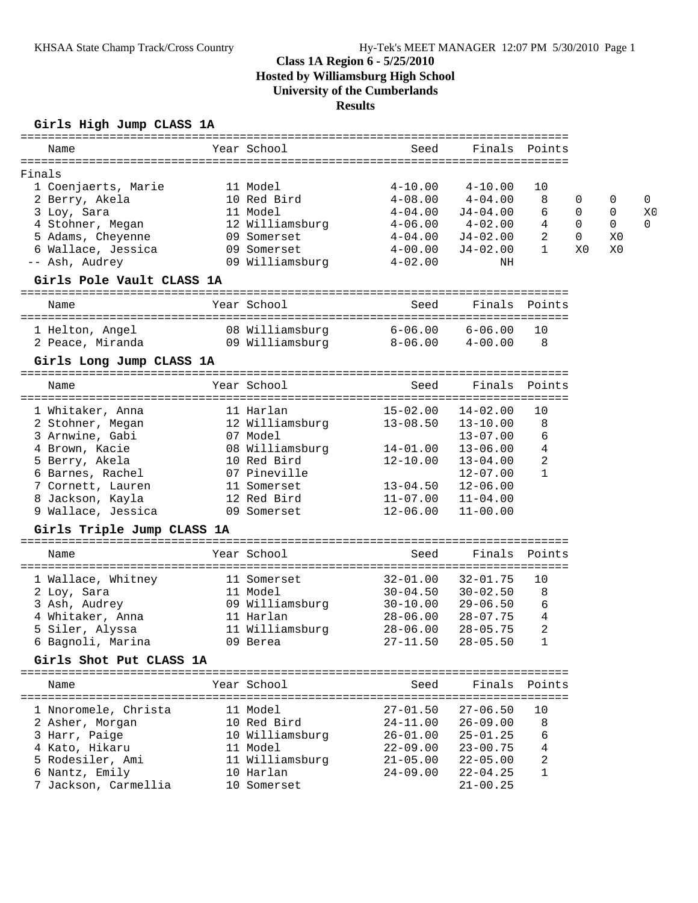# **Class 1A Region 6 - 5/25/2010 Hosted by Williamsburg High School University of the Cumberlands Results**

## **Girls High Jump CLASS 1A**

| Name                       | Year School     | Seed         |               | Finals Points  |             |    |                |
|----------------------------|-----------------|--------------|---------------|----------------|-------------|----|----------------|
|                            |                 |              |               |                |             |    |                |
| Finals                     |                 |              |               |                |             |    |                |
| 1 Coenjaerts, Marie        | 11 Model        | $4 - 10.00$  | $4 - 10.00$   | 10             |             |    |                |
| 2 Berry, Akela             | 10 Red Bird     | $4 - 08.00$  | $4 - 04.00$   | 8              | 0           | 0  | $\mathbf{0}$   |
| 3 Loy, Sara                | 11 Model        | $4 - 04.00$  | $J4 - 04.00$  | 6              | $\mathbf 0$ | 0  | X <sub>0</sub> |
| 4 Stohner, Megan           | 12 Williamsburg | $4 - 06.00$  | $4-02.00$     | 4              | $\Omega$    | 0  | $\Omega$       |
| 5 Adams, Cheyenne          | 09 Somerset     | $4 - 04.00$  | J4-02.00      | 2              | $\mathbf 0$ | X0 |                |
| 6 Wallace, Jessica         | 09 Somerset     | $4 - 00.00$  | $J4-02.00$    | $\mathbf{1}$   | X0          | X0 |                |
| -- Ash, Audrey             | 09 Williamsburg | $4 - 02.00$  | NH            |                |             |    |                |
| Girls Pole Vault CLASS 1A  |                 |              |               |                |             |    |                |
| Name                       | Year School     | Seed         |               | Finals Points  |             |    |                |
| 1 Helton, Angel            | 08 Williamsburg | $6 - 06.00$  | 6-06.00       | 10             |             |    |                |
| 2 Peace, Miranda           | 09 Williamsburg | $8 - 06.00$  | $4 - 00.00$   | 8              |             |    |                |
| Girls Long Jump CLASS 1A   |                 |              |               |                |             |    |                |
| Name                       | Year School     | Seed         | Finals Points |                |             |    |                |
|                            |                 |              |               |                |             |    |                |
| 1 Whitaker, Anna           | 11 Harlan       | $15 - 02.00$ | $14 - 02.00$  | 10             |             |    |                |
| 2 Stohner, Megan           | 12 Williamsburg | $13 - 08.50$ | $13 - 10.00$  | 8              |             |    |                |
| 3 Arnwine, Gabi            | 07 Model        |              | $13 - 07.00$  | 6              |             |    |                |
| 4 Brown, Kacie             | 08 Williamsburg | 14-01.00     | $13 - 06.00$  | 4              |             |    |                |
| 5 Berry, Akela             | 10 Red Bird     | $12 - 10.00$ | $13 - 04.00$  | $\overline{c}$ |             |    |                |
| 6 Barnes, Rachel           | 07 Pineville    |              | $12 - 07.00$  | $\mathbf{1}$   |             |    |                |
| 7 Cornett, Lauren          | 11 Somerset     | $13 - 04.50$ | $12 - 06.00$  |                |             |    |                |
| 8 Jackson, Kayla           | 12 Red Bird     | $11 - 07.00$ | $11 - 04.00$  |                |             |    |                |
| 9 Wallace, Jessica         | 09 Somerset     | $12 - 06.00$ | $11 - 00.00$  |                |             |    |                |
| Girls Triple Jump CLASS 1A |                 |              |               |                |             |    |                |
| Name                       | Year School     | Seed         |               | Finals Points  |             |    |                |
| 1 Wallace, Whitney         | 11 Somerset     | $32 - 01.00$ | $32 - 01.75$  | 10             |             |    |                |
| 2 Loy, Sara                | 11 Model        | $30 - 04.50$ | $30 - 02.50$  | 8              |             |    |                |
| 3 Ash, Audrey              | 09 Williamsburg | 30-10.00     | $29 - 06.50$  | 6              |             |    |                |
| 4 Whitaker, Anna           | 11 Harlan       | 28-06.00     | $28 - 07.75$  | 4              |             |    |                |
| 5 Siler, Alyssa            | 11 Williamsburg | $28 - 06.00$ | $28 - 05.75$  | 2              |             |    |                |
| 6 Bagnoli, Marina          | 09 Berea        | $27 - 11.50$ | $28 - 05.50$  | $\mathbf{1}$   |             |    |                |
| Girls Shot Put CLASS 1A    |                 |              |               |                |             |    |                |
|                            |                 |              |               |                |             |    |                |
| Name                       | Year School     | Seed         |               | Finals Points  |             |    |                |
| 1 Nnoromele, Christa       | 11 Model        | $27 - 01.50$ | $27 - 06.50$  | 10             |             |    |                |
| 2 Asher, Morgan            | 10 Red Bird     | 24-11.00     | $26 - 09.00$  | 8              |             |    |                |
| 3 Harr, Paige              | 10 Williamsburg | 26-01.00     | $25 - 01.25$  | 6              |             |    |                |
| 4 Kato, Hikaru             | 11 Model        | 22-09.00     | $23 - 00.75$  | 4              |             |    |                |
| 5 Rodesiler, Ami           | 11 Williamsburg | $21 - 05.00$ | $22 - 05.00$  | 2              |             |    |                |
| 6 Nantz, Emily             | 10 Harlan       | $24 - 09.00$ | $22 - 04.25$  | 1              |             |    |                |
| 7 Jackson, Carmellia       | 10 Somerset     |              | $21 - 00.25$  |                |             |    |                |
|                            |                 |              |               |                |             |    |                |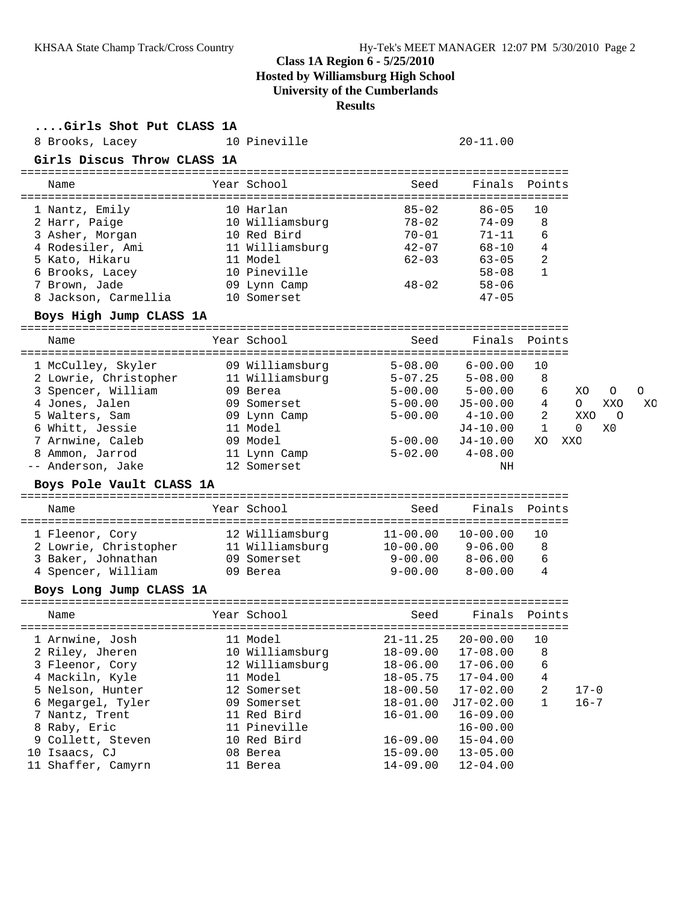## **Class 1A Region 6 - 5/25/2010**

**Hosted by Williamsburg High School**

**University of the Cumberlands**

**Results**

| Girls Shot Put CLASS 1A<br>8 Brooks, Lacey<br>Girls Discus Throw CLASS 1A<br>================================ | 10 Pineville                | ============= | $20 - 11.00$ |              |                |    |
|---------------------------------------------------------------------------------------------------------------|-----------------------------|---------------|--------------|--------------|----------------|----|
| Name                                                                                                          | Year School                 | Seed          | Finals       | Points       |                |    |
|                                                                                                               |                             |               |              |              |                |    |
| 1 Nantz, Emily                                                                                                | 10 Harlan                   | $85 - 02$     | $86 - 05$    | 10           |                |    |
| 2 Harr, Paige                                                                                                 | 10 Williamsburg             | $78 - 02$     | $74 - 09$    | 8            |                |    |
| 3 Asher, Morgan                                                                                               | 10 Red Bird                 | 70-01         | 71-11        | 6            |                |    |
| 4 Rodesiler, Ami                                                                                              | 11 Williamsburg             | 42-07         | 68-10        | 4            |                |    |
| 5 Kato, Hikaru                                                                                                | 11 Model                    | $62 - 03$     | $63 - 05$    | 2            |                |    |
| 6 Brooks, Lacey                                                                                               | 10 Pineville                |               | $58 - 08$    | 1            |                |    |
| 7 Brown, Jade                                                                                                 | 09 Lynn Camp<br>10 Somerset | $48 - 02$     | $58 - 06$    |              |                |    |
| 8 Jackson, Carmellia                                                                                          |                             |               | $47 - 05$    |              |                |    |
| Boys High Jump CLASS 1A                                                                                       |                             |               |              |              |                |    |
| Name                                                                                                          | Year School                 | Seed          | Finals       | Points       |                |    |
| 1 McCulley, Skyler                                                                                            | 09 Williamsburg             | $5 - 08.00$   | $6 - 00.00$  | 10           |                |    |
| 2 Lowrie, Christopher                                                                                         | 11 Williamsburg             | $5 - 07.25$   | $5 - 08.00$  | 8            |                |    |
| 3 Spencer, William                                                                                            | 09 Berea                    | $5 - 00.00$   | $5 - 00.00$  | 6            | XO<br>0        | C  |
| 4 Jones, Jalen                                                                                                | 09 Somerset                 | $5 - 00.00$   | J5-00.00     | 4            | $\circ$<br>XXO | XO |
| 5 Walters, Sam                                                                                                | 09 Lynn Camp                | $5 - 00.00$   | $4 - 10.00$  | 2            | XXO<br>C       |    |
| 6 Whitt, Jessie                                                                                               | 11 Model                    |               | $J4-10.00$   | 1            | 0<br>X0        |    |
| 7 Arnwine, Caleb                                                                                              | 09 Model                    | $5 - 00.00$   | J4-10.00     | XO           | XXO            |    |
| 8 Ammon, Jarrod                                                                                               | 11 Lynn Camp                | $5 - 02.00$   | $4 - 08.00$  |              |                |    |
| -- Anderson, Jake                                                                                             | 12 Somerset                 |               | ΝH           |              |                |    |
| Boys Pole Vault CLASS 1A                                                                                      |                             |               |              |              |                |    |
| Name                                                                                                          | Year School                 | Seed          | Finals       | Points       |                |    |
| 1 Fleenor, Cory                                                                                               | 12 Williamsburg             | $11 - 00.00$  | $10 - 00.00$ | 10           |                |    |
| 2 Lowrie, Christopher                                                                                         | 11 Williamsburg             | 10-00.00      | $9 - 06.00$  | 8            |                |    |
| 3 Baker, Johnathan                                                                                            | 09 Somerset                 | 9-00.00       | 8-06.00      | 6            |                |    |
| 4 Spencer, William                                                                                            | 09 Berea                    | $9 - 00.00$   | $8 - 00.00$  | 4            |                |    |
| Boys Long Jump CLASS 1A                                                                                       |                             |               |              |              |                |    |
| Name                                                                                                          | Year School                 | Seed          | Finals       | Points       |                |    |
|                                                                                                               |                             |               |              |              |                |    |
| 1 Arnwine, Josh                                                                                               | 11 Model                    | $21 - 11.25$  | $20 - 00.00$ | 10           |                |    |
| 2 Riley, Jheren                                                                                               | 10 Williamsburg             | $18 - 09.00$  | $17 - 08.00$ | 8            |                |    |
| 3 Fleenor, Cory                                                                                               | 12 Williamsburg             | $18 - 06.00$  | $17 - 06.00$ | 6            |                |    |
| 4 Mackiln, Kyle                                                                                               | 11 Model                    | $18 - 05.75$  | $17 - 04.00$ | 4            |                |    |
| 5 Nelson, Hunter                                                                                              | 12 Somerset                 | $18 - 00.50$  | $17 - 02.00$ | 2            | $17 - 0$       |    |
| 6 Megargel, Tyler                                                                                             | 09 Somerset                 | $18 - 01.00$  | J17-02.00    | $\mathbf{1}$ | $16 - 7$       |    |
| 7 Nantz, Trent                                                                                                | 11 Red Bird                 | $16 - 01.00$  | $16 - 09.00$ |              |                |    |
| 8 Raby, Eric                                                                                                  | 11 Pineville                |               | $16 - 00.00$ |              |                |    |
| 9 Collett, Steven                                                                                             | 10 Red Bird                 | $16 - 09.00$  | $15 - 04.00$ |              |                |    |
| 10 Isaacs, CJ                                                                                                 | 08 Berea                    | $15 - 09.00$  | $13 - 05.00$ |              |                |    |
| 11 Shaffer, Camyrn                                                                                            | 11 Berea                    | $14 - 09.00$  | $12 - 04.00$ |              |                |    |